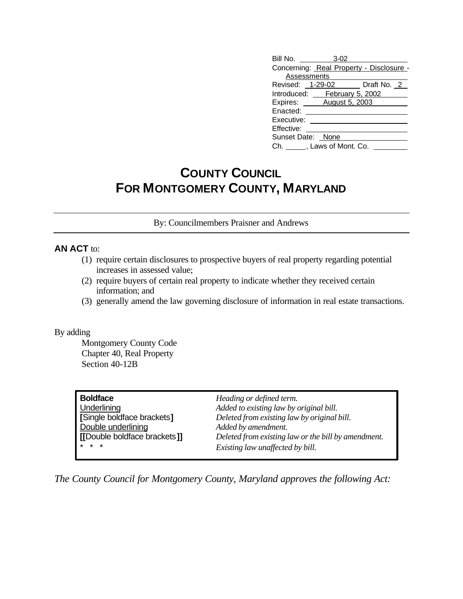| Bill No. 3-02                            |  |                              |  |  |  |
|------------------------------------------|--|------------------------------|--|--|--|
| Concerning: Real Property - Disclosure - |  |                              |  |  |  |
| Assessments                              |  |                              |  |  |  |
|                                          |  | Revised: 1-29-02 Draft No. 2 |  |  |  |
| Introduced: February 5, 2002             |  |                              |  |  |  |
| Expires: August 5, 2003                  |  |                              |  |  |  |
| Enacted:                                 |  |                              |  |  |  |
| Executive:                               |  |                              |  |  |  |
| Effective:                               |  |                              |  |  |  |
| Sunset Date: None                        |  |                              |  |  |  |
| Ch. ______, Laws of Mont. Co.            |  |                              |  |  |  |

## **COUNTY COUNCIL FOR MONTGOMERY COUNTY, MARYLAND**

By: Councilmembers Praisner and Andrews

## **AN ACT** to:

- (1) require certain disclosures to prospective buyers of real property regarding potential increases in assessed value;
- (2) require buyers of certain real property to indicate whether they received certain information; and
- (3) generally amend the law governing disclosure of information in real estate transactions.

## By adding

Montgomery County Code Chapter 40, Real Property Section 40-12B

| Heading or defined term.<br>Added to existing law by original bill.<br>Deleted from existing law by original bill.<br>Added by amendment.<br>Deleted from existing law or the bill by amendment. |
|--------------------------------------------------------------------------------------------------------------------------------------------------------------------------------------------------|
| Existing law unaffected by bill.                                                                                                                                                                 |
|                                                                                                                                                                                                  |

*The County Council for Montgomery County, Maryland approves the following Act:*